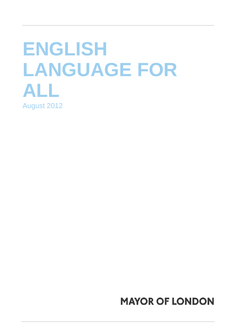## **ENGLISH LANGUAGE FOR ALL**  August 2012

## **MAYOR OF LONDON**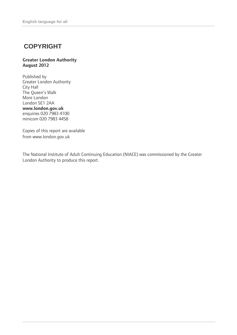## **COPYRIGHT**

#### **Greater London Authority August 2012**

Published by Greater London Authority City Hall The Queen's Walk More London London SE1 2AA **www.london.gov.uk**  enquiries 020 7983 4100 minicom 020 7983 4458

Copies of this report are available from www.london.gov.uk

The National Institute of Adult Continuing Education (NIACE) was commissioned by the Greater London Authority to produce this report.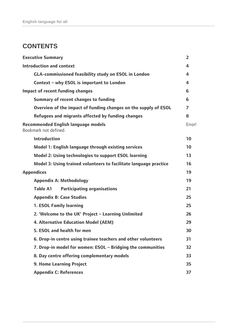## **CONTENTS**

| <b>Executive Summary</b>                                            | $\overline{2}$ |  |  |  |  |
|---------------------------------------------------------------------|----------------|--|--|--|--|
| <b>Introduction and context</b>                                     | 4              |  |  |  |  |
| <b>GLA-commissioned feasibility study on ESOL in London</b>         | 4              |  |  |  |  |
| Context - why ESOL is important to London                           |                |  |  |  |  |
| Impact of recent funding changes                                    | 6              |  |  |  |  |
| <b>Summary of recent changes to funding</b>                         |                |  |  |  |  |
| Overview of the impact of funding changes on the supply of ESOL     | 7              |  |  |  |  |
| Refugees and migrants affected by funding changes                   | 8              |  |  |  |  |
| <b>Recommended English language models</b><br>Bookmark not defined. | Error!         |  |  |  |  |
| <b>Introduction</b>                                                 | 10             |  |  |  |  |
| Model 1: English language through existing services                 | 10             |  |  |  |  |
| Model 2: Using technologies to support ESOL learning                | 13             |  |  |  |  |
| Model 3: Using trained volunteers to facilitate language practice   | 16             |  |  |  |  |
| <b>Appendices</b>                                                   | 19             |  |  |  |  |
| <b>Appendix A: Methodology</b>                                      | 19             |  |  |  |  |
| <b>Participating organisations</b><br>Table A1                      | 21             |  |  |  |  |
| <b>Appendix B: Case Studies</b>                                     | 25             |  |  |  |  |
| <b>1. ESOL Family learning</b>                                      | 25             |  |  |  |  |
| 2. 'Welcome to the UK' Project - Learning Unlimited                 | 26             |  |  |  |  |
| <b>4. Alternative Education Model (AEM)</b>                         | 29             |  |  |  |  |
| 5. ESOL and health for men                                          | 30             |  |  |  |  |
| 6. Drop-in centre using trainee teachers and other volunteers       | 31             |  |  |  |  |
| 7. Drop-in model for women: ESOL - Bridging the communities         | 32             |  |  |  |  |
| 8. Day centre offering complementary models                         | 33             |  |  |  |  |
| <b>9. Home Learning Project</b>                                     | 35             |  |  |  |  |
| <b>Appendix C: References</b>                                       | 37             |  |  |  |  |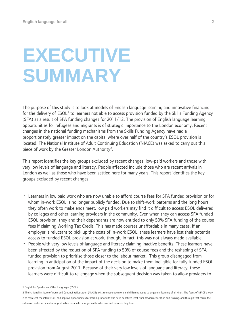## <span id="page-3-0"></span>**EXECUTIVE SUMMARY**

The purpose of this study is to look at models of English language learning and innovative financing for the delivery of  $\mathsf{ESOL}^1$  $\mathsf{ESOL}^1$  to learners not able to access provision funded by the Skills Funding Agency (SFA) as a result of SFA funding changes for 2011/12. The provision of English language learning opportunities for refugees and migrants is of strategic importance to the London economy. Recent changes in the national funding mechanisms from the Skills Funding Agency have had a proportionately greater impact on the capital where over half of the country's ESOL provision is located. The National Institute of Adult Continuing Education (NIACE) was asked to carry out this piece of work by the Greater London Authority<sup>[2](#page-3-2)</sup>.

This report identifies the key groups excluded by recent changes: low-paid workers and those with very low levels of language and literacy. People affected include those who are recent arrivals in London as well as those who have been settled here for many years. This report identifies the key groups excluded by recent changes:

- Learners in low paid work who are now unable to afford course fees for SFA funded provision or for whom in-work ESOL is no longer publicly funded. Due to shift-work patterns and the long hours they often work to make ends meet, low paid workers may find it difficult to access ESOL delivered by colleges and other learning providers in the community. Even when they can access SFA funded ESOL provision, they and their dependants are now entitled to only 50% SFA funding of the course fees if claiming Working Tax Credit. This has made courses unaffordable in many cases. If an employer is reluctant to pick up the costs of in-work ESOL, these learners have lost their potential access to funded ESOL provision at work, though, in fact, this was not always made available.
- People with very low levels of language and literacy claiming inactive benefits. These learners have been affected by the reduction of SFA funding to 50% of course fees and the reshaping of SFA funded provision to prioritise those closer to the labour market. This group disengaged from learning in anticipation of the impact of the decision to make them ineligible for fully funded ESOL provision from August 2011. Because of their very low levels of language and literacy, these learners were difficult to re-engage when the subsequent decision was taken to allow providers to

 $\overline{a}$ 1 English for Speakers of Other Languages (ESOL)

<span id="page-3-2"></span><span id="page-3-1"></span><sup>2</sup> The National Institute of Adult and Continuing Education (NIACE) exist to encourage more and different adults to engage in learning of all kinds. The focus of NIACE's work is to represent the interests of, and improve opportunities for learning for adults who have benefited least from previous education and training, and through that focus, the extension and enrichment of opportunities for adults more generally, wherever and however they learn.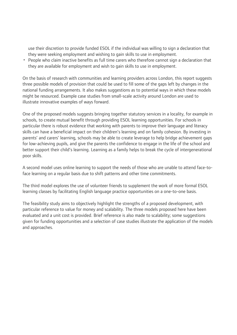use their discretion to provide funded ESOL if the individual was willing to sign a declaration that they were seeking employment and wishing to gain skills to use in employment.

• People who claim inactive benefits as full time carers who therefore cannot sign a declaration that they are available for employment and wish to gain skills to use in employment.

On the basis of research with communities and learning providers across London, this report suggests three possible models of provision that could be used to fill some of the gaps left by changes in the national funding arrangements. It also makes suggestions as to potential ways in which these models might be resourced. Example case studies from small-scale activity around London are used to illustrate innovative examples of ways forward.

One of the proposed models suggests bringing together statutory services in a locality, for example in schools, to create mutual benefit through providing ESOL learning opportunities. For schools in particular there is robust evidence that working with parents to improve their language and literacy skills can have a beneficial impact on their children's learning and on family cohesion. By investing in parents' and carers' learning, schools may be able to create leverage to help bridge achievement gaps for low-achieving pupils, and give the parents the confidence to engage in the life of the school and better support their child's learning. Learning as a family helps to break the cycle of intergenerational poor skills.

A second model uses online learning to support the needs of those who are unable to attend face-toface learning on a regular basis due to shift patterns and other time commitments.

The third model explores the use of volunteer friends to supplement the work of more formal ESOL learning classes by facilitating English language practice opportunities on a one-to-one basis.

The feasibility study aims to objectively highlight the strengths of a proposed development, with particular reference to value for money and scalability. The three models proposed here have been evaluated and a unit cost is provided. Brief reference is also made to scalability; some suggestions given for funding opportunities and a selection of case studies illustrate the application of the models and approaches.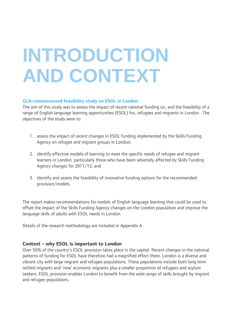# <span id="page-5-0"></span>**INTRODUCTION AND CONTEXT**

#### **GLA-commissioned feasibility study on ESOL in London**

The aim of this study was to assess the impact of recent national funding on, and the feasibility of a range of English language learning opportunities (ESOL) for, refugees and migrants in London. The objectives of the study were to:

- 1. assess the impact of recent changes in ESOL funding implemented by the Skills Funding Agency on refugee and migrant groups in London;
- 2. identify effective models of learning to meet the specific needs of refugee and migrant learners in London, particularly those who have been adversely affected by Skills Funding Agency changes for 2011/12; and
- 3. Identify and assess the feasibility of innovative funding options for the recommended provision/models.

The report makes recommendations for models of English language learning that could be used to offset the impact of the Skills Funding Agency changes on the London population and improve the language skills of adults with ESOL needs in London.

Details of the research methodology are included in Appendix A.

#### **Context – why ESOL is important to London**

Over 50% of the country's ESOL provision takes place in the capital. Recent changes in the national patterns of funding for ESOL have therefore had a magnified effect there. London is a diverse and vibrant city with large migrant and refugee populations. These populations include both long term settled migrants and 'new' economic migrants plus a smaller proportion of refugees and asylum seekers. ESOL provision enables London to benefit from the wide range of skills brought by migrant and refugee populations.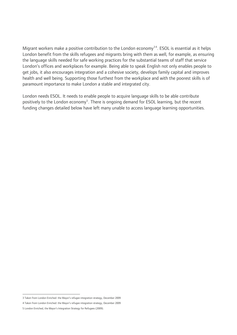Migrant workers make a positive contribution to the London economy<sup>[3](#page-6-0)[4](#page-6-1)</sup>. ESOL is essential as it helps London benefit from the skills refugees and migrants bring with them as well, for example, as ensuring the language skills needed for safe working practices for the substantial teams of staff that service London's offices and workplaces for example. Being able to speak English not only enables people to get jobs, it also encourages integration and a cohesive society, develops family capital and improves health and well being. Supporting those furthest from the workplace and with the poorest skills is of paramount importance to make London a stable and integrated city.

London needs ESOL. It needs to enable people to acquire language skills to be able contribute positively to the London economy<sup>[5](#page-6-2)</sup>. There is ongoing demand for ESOL learning, but the recent funding changes detailed below have left many unable to access language learning opportunities.

 3 Taken from London Enriched: the Mayor's refugee integration strategy, December 2009

<span id="page-6-1"></span><span id="page-6-0"></span><sup>4</sup> Taken from London Enriched: the Mayor's refugee integration strategy, December 2009

<span id="page-6-2"></span><sup>5</sup> London Enriched, the Mayor's Integration Strategy for Refugees (2009).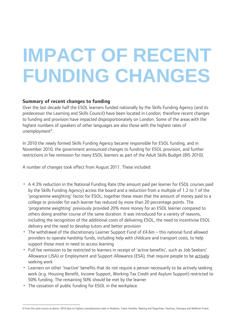# <span id="page-7-0"></span>**IMPACT OF RECENT FUNDING CHANGES**

### **Summary of recent changes to funding**

Over the last decade half the ESOL learners funded nationally by the Skills Funding Agency (and its predecessor the Learning and Skills Council) have been located in London; therefore recent changes to funding and provision have impacted disproportionately on London. Some of the areas with the highest numbers of speakers of other languages are also those with the highest rates of unemployment<sup>[6](#page-7-1)</sup>.

In 2010 the newly formed Skills Funding Agency became responsible for ESOL funding, and in November 2010, the government announced changes to funding for ESOL provision, and further restrictions in fee remission for many ESOL learners as part of the Adult Skills Budget (BIS 2010).

A number of changes took effect from August 2011. These included:

- A 4.3% reduction in the National Funding Rate (the amount paid per learner for ESOL courses paid by the Skills Funding Agency) across the board and a reduction from a multiple of 1.2 to 1 of the 'programme weighting' factor for ESOL; together these mean that the amount of money paid to a college or provider for each learner has reduced by more than 20 percentage points. The 'programme weighting' previously provided 20% more money for an ESOL learner compared to others doing another course of the same duration. It was introduced for a variety of reasons, including the recognition of the additional costs of delivering ESOL, the need to incentivise ESOL delivery and the need to develop tutors and better provision
- The withdrawal of the discretionary Learner Support Fund of £4.6m this national fund allowed providers to operate hardship funds, including help with childcare and transport costs, to help support those most in need to access learning
- Full fee remission to be restricted to learners in receipt of 'active benefits', such as Job Seekers' Allowance (JSA) or Employment and Support Allowance (ESA), that require people to be actively seeking work
- Learners on other 'inactive' benefits that do not require a person necessarily to be actively seeking work (e.g. Housing Benefit, Income Support, Working Tax Credit and Asylum Support) restricted to 50% funding. The remaining 50% should be met by the learner
- The cessation of public funding for ESOL in the workplace.

<span id="page-7-1"></span> $\overline{a}$ 6 From the same source as above, 2010 data on highest unemployment rates in Newham, Tower Hamlets, Barking and Dagenham, Hackney, Haringey and Waltham Forest.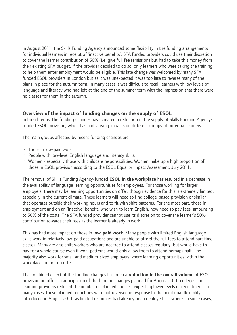<span id="page-8-0"></span>In August 2011, the Skills Funding Agency announced some flexibility in the funding arrangements for individual learners in receipt of 'inactive benefits'. SFA funded providers could use their discretion to cover the learner contribution of 50% (i.e. give full fee remission) but had to take this money from their existing SFA budget. If the provider decided to do so, only learners who were taking the training to help them enter employment would be eligible. This late change was welcomed by many SFA funded ESOL providers in London but as it was unexpected it was too late to reverse many of the plans in place for the autumn term. In many cases it was difficult to recall learners with low levels of language and literacy who had left at the end of the summer term with the impression that there were no classes for them in the autumn.

#### **Overview of the impact of funding changes on the supply of ESOL**

In broad terms, the funding changes have created a reduction in the supply of Skills Funding Agencyfunded ESOL provision, which has had varying impacts on different groups of potential learners.

The main groups affected by recent funding changes are:

- Those in low-paid work;
- People with low-level English language and literacy skills;
- Women especially those with childcare responsibilities. Women make up a high proportion of those in ESOL provision according to the ESOL Equality Impact Assessment, July 2011.

The removal of Skills Funding Agency-funded **ESOL in the workplace** has resulted in a decrease in the availability of language learning opportunities for employees. For those working for larger employers, there may be learning opportunities on offer, though evidence for this is extremely limited, especially in the current climate. These learners will need to find college-based provision or similar that operates outside their working hours and to fit with shift patterns. For the most part, those in employment and on an 'inactive' benefit, who wish to learn English, now need to pay fees, amounting to 50% of the costs. The SFA funded provider cannot use its discretion to cover the learner's 50% contribution towards their fees as the learner is already in work.

This has had most impact on those in **low-paid work**. Many people with limited English language skills work in relatively low-paid occupations and are unable to afford the full fees to attend part time classes. Many are also shift workers who are not free to attend classes regularly, but would have to pay for a whole course even if work patterns would only allow them to attend perhaps half. The majority also work for small and medium-sized employers where learning opportunities within the workplace are not on offer.

The combined effect of the funding changes has been a **reduction in the overall volume** of ESOL provision on offer. In anticipation of the funding changes planned for August 2011, colleges and learning providers reduced the number of planned courses, expecting lower levels of recruitment. In many cases, these planned reductions were not reversed in response to the additional flexibility introduced in August 2011, as limited resources had already been deployed elsewhere. In some cases,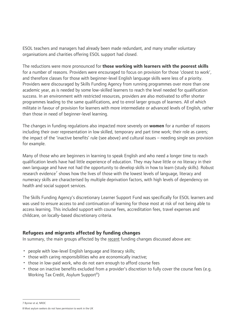<span id="page-9-0"></span>ESOL teachers and managers had already been made redundant, and many smaller voluntary organisations and charities offering ESOL support had closed.

The reductions were more pronounced for **those working with learners with the poorest skills** for a number of reasons. Providers were encouraged to focus on provision for those 'closest to work', and therefore classes for those with beginner-level English language skills were less of a priority. Providers were discouraged by Skills Funding Agency from running programmes over more than one academic year, as is needed by some low-skilled learners to reach the level needed for qualification success. In an environment with restricted resources, providers are also motivated to offer shorter programmes leading to the same qualifications, and to enrol larger groups of learners. All of which militate in favour of provision for learners with more intermediate or advanced levels of English, rather than those in need of beginner-level learning.

The changes in funding regulations also impacted more severely on **women** for a number of reasons including their over representation in low skilled, temporary and part time work; their role as carers; the impact of the 'inactive benefits' rule (see above) and cultural issues – needing single sex provision for example.

Many of those who are beginners in learning to speak English and who need a longer time to reach qualification levels have had little experience of education. They may have little or no literacy in their own language and have not had the opportunity to develop skills in how to learn (study skills). Robust research evidence<sup>[7](#page-9-1)</sup> shows how the lives of those with the lowest levels of language, literacy and numeracy skills are characterised by multiple deprivation factors, with high levels of dependency on health and social support services.

The Skills Funding Agency's discretionary Learner Support Fund was specifically for ESOL learners and was used to ensure access to and continuation of learning for those most at risk of not being able to access learning. This included support with course fees, accreditation fees, travel expenses and childcare, on locally-based discretionary criteria.

#### **Refugees and migrants affected by funding changes**

In summary, the main groups affected by the recent funding changes discussed above are:

- people with low-level English language and literacy skills;
- those with caring responsibilities who are economically inactive;
- those in low-paid work, who do not earn enough to afford course fees
- those on inactive benefits excluded from a provider's discretion to fully cover the course fees (e.g. Working Tax Credit, Asylum Support<sup>[8](#page-9-2)</sup>)

 7 Bynner et al, NRDC

<span id="page-9-2"></span><span id="page-9-1"></span><sup>8</sup> Most asylum seekers do not have permission to work in the UK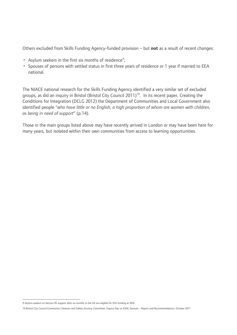Others excluded from Skills Funding Agency-funded provision – but **not** as a result of recent changes:

- Asylum seekers in the first six months of residence<sup>[9](#page-10-0)</sup>;
- Spouses of persons with settled status in first three years of residence or 1 year if married to EEA national.

The NIACE national research for the Skills Funding Agency identified a very similar set of excluded groups, as did an inquiry in Bristol (Bristol City Council 2011)<sup>[10](#page-10-1)</sup>. In its recent paper, Creating the Conditions for Integration (DCLG 2012) the Department of Communities and Local Government also identified people "*who have little or no English, a high proportion of whom are women with children, as being in need of support*" (p.14).

Those in the main groups listed above may have recently arrived in London or may have been here for many years, but isolated within their own communities from access to learning opportunities.

<span id="page-10-0"></span> 9 Asylum seekers on Section 95 support after six months in the UK are eligible for SFA funding at 50%

<span id="page-10-1"></span><sup>10</sup> Bristol City Council Community Cohesion and Safety Scrutiny Committee: Inquiry Day on ESOL Services – Report and Recommendations, October 2011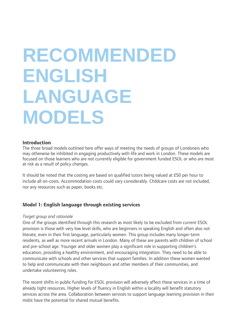# <span id="page-11-0"></span>**RECOMMENDED ENGLISH LANGUAGE MODELS**

#### **Introduction**

The three broad models outlined here offer ways of meeting the needs of groups of Londoners who may otherwise be inhibited in engaging productively with life and work in London. These models are focused on those learners who are not currently eligible for government funded ESOL or who are most at risk as a result of policy changes.

It should be noted that the costing are based on qualified tutors being valued at £50 per hour to include all on-costs. Accommodation costs could vary considerably. Childcare costs are not included, nor any resources such as paper, books etc.

#### **Model 1: English language through existing services**

#### *Target group and rationale*

One of the groups identified through this research as most likely to be excluded from current ESOL provision is those with very low level skills, who are beginners in speaking English and often also not literate, even in their first language, particularly women. This group includes many longer-term residents, as well as more recent arrivals in London. Many of these are parents with children of school and pre-school age. Younger and older women play a significant role in supporting children's education, providing a healthy environment, and encouraging integration. They need to be able to communicate with schools and other services that support families. In addition these women wanted to help and communicate with their neighbours and other members of their communities, and undertake volunteering roles.

The recent shifts in public funding for ESOL provision will adversely affect these services in a time of already tight resources. Higher levels of fluency in English within a locality will benefit statutory services across the area. Collaboration between services to support language learning provision in their midst have the potential for shared mutual benefits.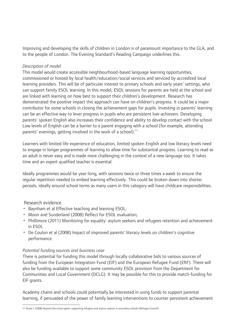Improving and developing the skills of children in London is of paramount importance to the GLA, and to the people of London. The Evening Standard's Reading Campaign underlines this.

#### *Description of model*

This model would create accessible neighbourhood-based language learning opportunities, commissioned or hosted by local health/education/social services and serviced by accredited local learning providers. This will be of particular interest to primary schools and early years' settings, who can support family ESOL learning. In this model, ESOL sessions for parents are held at the school and are linked with learning on how best to support their children's development. Research has demonstrated the positive impact this approach can have on children's progress. It could be a major contributor for some schools in closing the achievement gaps for pupils. Investing in parents' learning can be an effective way to lever progress in pupils who are persistent low-achievers. Developing parents' spoken English also increases their confidence and ability to develop contact with the school. Low levels of English can be a barrier to a parent engaging with a school (for example, attending parents' evenings, getting involved in the work of a school).<sup>[11](#page-12-0)</sup>

Learners with limited life experience of education, limited spoken English and low literacy levels need to engage in longer programmes of learning to allow time for substantial progress. Learning to read as an adult is never easy and is made more challenging in the context of a new language too. It takes time and an expert qualified teacher is essential.

Ideally programmes would be year-long, with sessions twice or three times a week to ensure the regular repetition needed to embed learning effectively. This could be broken down into shorter periods, ideally around school terms as many users in this category will have childcare responsibilities.

#### Research evidence

- Baynham et al Effective teaching and learning ESOL;
- Moon and Sunderland (2008) Reflect for ESOL evaluation;
- Phillimore (2011) Monitoring for equality: asylum seekers and refugees retention and achievement in ESOL
- De Coulon et al (2008) Impact of improved parents' literacy levels on children's cognitive performance

#### *Potential funding sources and business case*

There is potential for funding this model through locally collaborative bids to various sources of funding from the European Integration Fund (EIF) and the European Refugee Fund (ERF). There will also be funding available to support some community ESOL provision from the Department for Communities and Local Government (DCLG). It may be possible for this to provide match-funding for EIF grants.

Academy chains and schools could potentially be interested in using funds to support parental learning, if persuaded of the power of family learning interventions to counter persistent achievement

<span id="page-12-0"></span> 11 Doyle L (2008) Beyond the school gates: supporting refugees and asylum seekers in secondary schools (Refugee Council)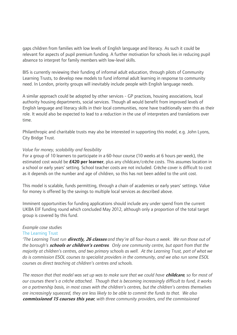gaps children from families with low levels of English language and literacy. As such it could be relevant for aspects of pupil premium funding. A further motivation for schools lies in reducing pupil absence to interpret for family members with low-level skills.

BIS is currently reviewing their funding of informal adult education, through pilots of Community Learning Trusts, to develop new models to fund informal adult learning in response to community need. In London, priority groups will inevitably include people with English language needs.

A similar approach could be adopted by other services - GP practices, housing associations, local authority housing departments, social services. Though all would benefit from improved levels of English language and literacy skills in their local communities, none have traditionally seen this as their role. It would also be expected to lead to a reduction in the use of interpreters and translations over time.

Philanthropic and charitable trusts may also be interested in supporting this model, e.g. John Lyons, City Bridge Trust.

#### *Value for money, scalability and feasibility*

For a group of 10 learners to participate in a 60-hour course (10 weeks at 6 hours per week), the estimated cost would be **£420 per learner**, plus any childcare/crèche costs. This assumes location in a school or early years' setting. School teacher costs are not included. Crèche cover is difficult to cost as it depends on the number and age of children, so this has not been added to the unit cost.

This model is scalable, funds permitting, through a chain of academies or early years' settings. Value for money is offered by the savings to multiple local services as described above.

Imminent opportunities for funding applications should include any under spend from the current UKBA EIF funding round which concluded May 2012, although only a proportion of the total target group is covered by this fund.

#### *Example case studies*

#### The Learning Trust

*'The Learning Trust run* **directly, 26 classes** *and they're all four-hours a week. We run those out of the borough's* **schools or children's centres***. Only one community centre, but apart from that the majority at children's centres, and two primary schools as well. At the Learning Trust, part of what we do is commission ESOL courses to specialist providers in the community, and we also run some ESOL courses as direct teaching at children's centres and schools.* 

*The reason that that model was set up was to make sure that we could have* **childcare***, so for most of our courses there's a crèche attached. Though that is becoming increasingly difficult to fund, it works on a partnership basis, in most cases with the children's centres, but the children's centres themselves are increasingly squeezed, they are less likely to be able to commit the funds to that. We also*  **commissioned 15 courses this year***, with three community providers, and the commissioned*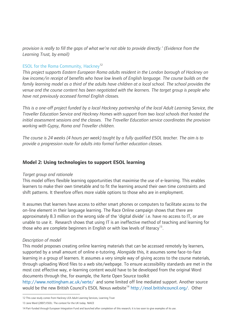<span id="page-14-0"></span>*provision is really to fill the gaps of what we're not able to provide directly.' (Evidence from the Learning Trust, by email)* 

#### ESOL for the Roma Community, Hackney<sup>[12](#page-14-1)</sup>

*This project supports Eastern European Roma adults resident in the London borough of Hackney on low income/in receipt of benefits who have low levels of English language. The course builds on the* family learning model as a third of the adults have children at a local school. The school provides the *venue and the course content has been negotiated with the learners. The target group is people who have not previously accessed formal English classes.* 

*This is a one-off project funded by a local Hackney partnership of the local Adult Learning Service, the Traveller Education Service and Hackney Homes with support from two local schools that hosted the initial assessment sessions and the classes. The Traveller Education service coordinates the provision working with Gypsy, Roma and Traveller children.* 

*The course is 24 weeks (4 hours per week) taught by a fully qualified ESOL teacher. The aim is to provide a progression route for adults into formal further education classes.* 

#### **Model 2: Using technologies to support ESOL learning**

#### *Target group and rationale*

This model offers flexible learning opportunities that maximise the use of e-learning. This enables learners to make their own timetable and to fit the learning around their own time constraints and shift patterns. It therefore offers more viable options to those who are in employment.

It assumes that learners have access to either smart phones or computers to facilitate access to the on-line element in their language learning. The Race Online campaign shows that there are approximately 8.3 million on the wrong side of the 'digital divide' i.e. have no access to IT, or are unable to use it. Research shows that using IT is an ineffective method of teaching and learning for those who are complete beginners in English or with low levels of literacy<sup>[13](#page-14-2)</sup>.

#### *Description of model*

This model proposes creating online learning materials that can be accessed remotely by learners, supported by a small amount of online e-tutoring. Alongside this, it assumes some face-to-face learning in a group of learners. It assumes a very simple way of giving access to the course materials, through uploading Word files to a web site/webpage. To ensure accessibility standards are met in the most cost effective way, e-learning content would have to be developed from the original Word documents through the, for example, the Xerte Open Source toolkit

<http://www.nottingham.ac.uk/xerte/>and some limited off line mediated support. Another source would be the new British Council's ESOL Nexus website<sup>[14](#page-14-3)</sup> <http://esol.britishcouncil.org/>. Other

 12 This case study comes from Hackney LEA Adult Learning Services, Learning Trust

<span id="page-14-2"></span><span id="page-14-1"></span><sup>13</sup> Jane Ward (2007) ESOL: The context for the UK today. NIACE

<span id="page-14-3"></span><sup>14</sup> Part-funded through European Integration Fund and launched after completion of this research; it is too soon to give examples of its use.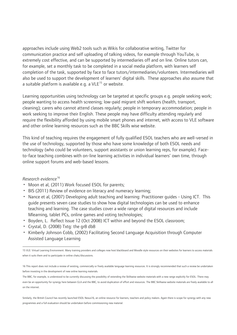approaches include using Web2 tools such as Wikis for collaborative writing, Twitter for communication practice and self uploading of talking videos, for example through YouTube, is extremely cost effective, and can be supported by intermediaries off and on line. Online tutors can, for example, set a monthly task to be completed in a social media platform, with learners self completion of the task, supported by face to face tutors/intermediaries/volunteers. Intermediaries will also be used to support the development of learners' digital skills. These approaches also assume that a suitable platform is available e.g. a  $VLE<sup>15</sup>$  $VLE<sup>15</sup>$  $VLE<sup>15</sup>$  or website.

Learning opportunities using technology can be targeted at specific groups e.g. people seeking work; people wanting to access health screening; low-paid migrant shift workers (health, transport, cleaning); carers who cannot attend classes regularly; people in temporary accommodation; people in work seeking to improve their English. These people may have difficulty attending regularly and require the flexibility afforded by using mobile smart phones and internet, with access to VLE software and other online learning resources such as the BBC Skills wise website.

This kind of teaching requires the engagement of fully qualified ESOL teachers who are well-versed in the use of technology, supported by those who have some knowledge of both ESOL needs and technology (who could be volunteers, support assistants or union learning reps, for example). Faceto-face teaching combines with on-line learning activities in individual learners' own time, through online support forums and web-based lessons.

#### *Research evidence*[16](#page-15-1)

- Moon et al, (2011) Work focused ESOL for parents;
- BIS (2011) Review of evidence on literacy and numeracy learning;
- Nance et al, (2007) Developing adult teaching and learning: Practitioner guides Using ICT. This guide presents seven case studies to show how digital technologies can be used to enhance teaching and learning. The case studies cover a wide range of digital resources and include Mlearning, tablet PCs, online games and voting technologies;
- Boyden, L. Reflect Issue 12 (Oct 2008) ICT within and beyond the ESOL classroom;
- Crystal, D. (2008) Txtg: the gr8 db8
- Kimberly Johnson Cobb, (2002) Facilitating Second Language Acquisition through Computer Assisted Language Learning

Similarly, the British Council has recently launched ESOL Nexus16, an online resource for learners, teachers and policy makers. Again there is scope for synergy with any new programmes and a full evaluation should be undertaken before commissioning new material.

<span id="page-15-0"></span> 15 VLE: Virtual Learning Environment. Many training providers and colleges now host blackboard and Moodle style resources on their websites for learners to access materials when it suits them and to participate in online chats/discussions.

<span id="page-15-1"></span><sup>16</sup> This report does not include a review of existing, commercially or freely available language learning resources. It is strongly recommended that such a review be undertaken before investing in the development of new online learning materials.

The BBC, for example, is understood to be currently discussing the possibility of extending the Skillswise website materials with a new range explicitly for ESOL. There may even be an opportunity for synergy here between GLA and the BBC, to avoid duplication of effort and resources. The BBC Skillswise website materials are freely available to all on the internet.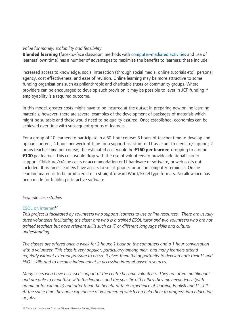#### *Value for money, scalability and feasibility*

**Blended learning** (face-to-face classroom methods with [computer-mediated activities](http://en.wikipedia.org/wiki/E-learning) and use of learners' own time) has a number of advantages to maximise the benefits to learners; these include:

increased access to knowledge, social interaction (through social media, online tutorials etc), personal agency, cost effectiveness, and ease of revision. Online learning may be more attractive to some funding organisations such as philanthropic and charitable trusts or community groups. Where providers can be encouraged to develop such provision it may be possible to lever in JCP funding if employability is a required outcome.

In this model, greater costs might have to be incurred at the outset in preparing new online learning materials; however, there are several examples of the development of packages of materials which might be suitable and these would need to be quality assured. Once established, economies can be achieved over time with subsequent groups of learners.

For a group of 10 learners to participate in a 60-hour course: 6 hours of teacher time to develop and upload content; 4 hours per week of time for a support assistant or IT assistant to mediate/support; 2 hours teacher time per course, the estimated cost would be **£160 per learner**, dropping to around **£100** per learner. This cost would drop with the use of volunteers to provide additional learner support. Childcare/crèche costs or accommodation or IT hardware or software, or web costs not included. It assumes learners have access to smart phones or online computer terminals. Online learning materials to be produced are in straightforward Word/Excel type formats. No allowance has been made for building interactive software.

#### *Example case studies*

#### ESOL on internet**[17](#page-16-0)**

*This project is facilitated by volunteers who support learners to use online resources. There are usually three volunteers facilitating the class: one who is a trained ESOL tutor and two volunteers who are not trained teachers but have relevant skills such as IT or different language skills and cultural understanding.* 

*The classes are offered once a week for 2 hours: 1 hour on the computers and a 1 hour conversation with a volunteer. This class is very popular, particularly among men, and many learners attend regularly without external pressure to do so. It gives them the opportunity to develop both their IT and ESOL skills and to become independent in accessing internet based resources.* 

*Many users who have accessed support at the centre become volunteers. They are often multilingual and are able to empathise with the learners and the specific difficulties they may experience (with grammar for example) and offer them the benefit of their experience of learning English and IT skills. At the same time they gain experience of volunteering which can help them to progress into education or jobs.* 

<span id="page-16-0"></span> 17 This case study comes from the Migrants Resource Centre, Westminster.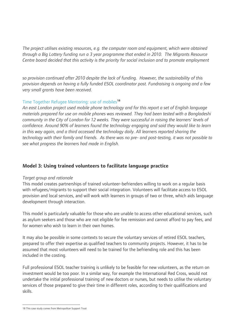<span id="page-17-0"></span>*The project utilises existing resources, e.g. the computer room and equipment, which were obtained through a Big Lottery funding run a 3 year programme that ended in 2010. The Migrants Resource Centre board decided that this activity is the priority for social inclusion and to promote employment* 

*so provision continued after 2010 despite the lack of funding. However, the sustainability of this provision depends on having a fully funded ESOL coordinator post. Fundraising is ongoing and a few very small grants have been received.* 

#### Time Together Refugee Mentoring: use of mobiles**[18](#page-17-1)**

*An east London project used mobile phone technology and for this report a set of English language materials prepared for use on mobile phones was reviewed. They had been tested with a Bangladeshi community in the City of London for 12 weeks. They were successful in raising the learners' levels of confidence. Around 90% of learners found the technology engaging and said they would like to learn in this way again, and a third accessed the technology daily. All learners reported sharing the technology with their family and friends. As there was no pre- and post-testing, it was not possible to see what progress the learners had made in English.* 

### **Model 3: Using trained volunteers to facilitate language practice**

#### *Target group and rationale*

This model creates partnerships of trained volunteer-befrienders willing to work on a regular basis with refugees/migrants to support their social integration. Volunteers will facilitate access to ESOL provision and local services, and will work with learners in groups of two or three, which aids language development through interaction.

This model is particularly valuable for those who are unable to access other educational services, such as asylum seekers and those who are not eligible for fee remission and cannot afford to pay fees, and for women who wish to learn in their own homes.

It may also be possible in some contexts to secure the voluntary services of retired ESOL teachers, prepared to offer their expertise as qualified teachers to community projects. However, it has to be assumed that most volunteers will need to be trained for the befriending role and this has been included in the costing.

Full professional ESOL teacher training is unlikely to be feasible for new volunteers, as the return on investment would be too poor. In a similar way, for example the International Red Cross, would not undertake the initial professional training of new doctors or nurses, but needs to utilise the voluntary services of those prepared to give their time in different roles, according to their qualifications and skills.

<span id="page-17-1"></span> $\overline{a}$ 18 This case study comes from Metropolitan Support Trust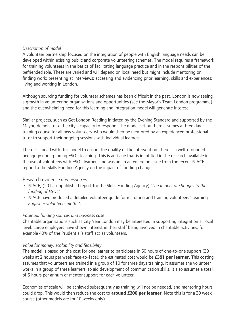#### *Description of model*

A volunteer partnership focused on the integration of people with English language needs can be developed within existing public and corporate volunteering schemes. The model requires a framework for training volunteers in the basics of facilitating language practice and in the responsibilities of the befriended role. These are varied and will depend on local need but might include mentoring on finding work; presenting at interviews; accessing and evidencing prior learning, skills and experiences; living and working in London.

Although sourcing funding for volunteer schemes has been difficult in the past, London is now seeing a growth in volunteering organisations and opportunities (see the Mayor's Team London programme) and the overwhelming need for this learning and integration model will generate interest.

Similar projects, such as Get London Reading initiated by the Evening Standard and supported by the Mayor, demonstrate the city's capacity to respond. The model set out here assumes a three day training course for all new volunteers, who would then be mentored by an experienced professional tutor to support their ongoing sessions with individual learners.

There is a need with this model to ensure the quality of the intervention: there is a well-grounded pedagogy underpinning ESOL teaching. This is an issue that is identified in the research available in the use of volunteers with ESOL learners and was again an emerging issue from the recent NIACE report to the Skills Funding Agency on the impact of funding changes.

#### Research evidence *and resources*

- NIACE, (2012, unpublished report for the Skills Funding Agency) '*The Impact of changes to the funding of ESOL'*
- NIACE have produced a detailed volunteer guide for recruiting and training volunteers 'Learning *English – volunteers matter'.*

#### *Potential funding sources and business case*

Charitable organisations such as City Year London may be interested in supporting integration at local level. Large employers have shown interest in their staff being involved in charitable activities, for example 40% of the Prudential's staff act as volunteers.

#### *Value for money, scalability and feasibility*

The model is based on the cost for one learner to participate in 60 hours of one-to-one support (30 weeks at 2 hours per week face-to-face), the estimated cost would be **£381 per learner**. This costing assumes that volunteers are trained in a group of 10 for three days training. It assumes the volunteer works in a group of three learners, to aid development of communication skills. It also assumes a total of 5 hours per annum of mentor support for each volunteer.

Economies of scale will be achieved subsequently as training will not be needed, and mentoring hours could drop. This would then reduce the cost to **around £200 per learner**. Note this is for a 30 week course (other models are for 10 weeks only).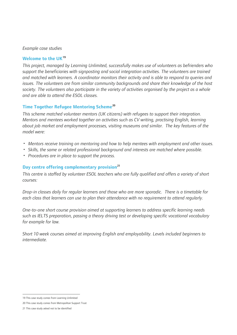#### *Example case studies*

#### **Welcome to the UK[19](#page-19-0)**

*This project, managed by Learning Unlimited, successfully makes use of volunteers as befrienders who support the beneficiaries with signposting and social integration activities. The volunteers are trained and matched with learners. A coordinator monitors their activity and is able to respond to queries and issues. The volunteers are from similar community backgrounds and share their knowledge of the host society. The volunteers also participate in the variety of activities organised by the project as a whole and are able to attend the ESOL classes.* 

#### **Time Together Refugee Mentoring Scheme[20](#page-19-1)**

*This scheme matched volunteer mentors (UK citizens) with refugees to support their integration. Mentors and mentees worked together on activities such as CV writing, practising English, learning about job market and employment processes, visiting museums and similar. The key features of the model were:* 

- *Mentors receive training on mentoring and how to help mentees with employment and other issues.*
- *Skills, the same or related professional background and interests are matched where possible.*
- *Procedures are in place to support the process.*

#### **Day centre offering complementary provision[21](#page-19-2)**

*This centre is staffed by volunteer ESOL teachers who are fully qualified and offers a variety of short courses:* 

*Drop-in classes daily for regular learners and those who are more sporadic. There is a timetable for each class that learners can use to plan their attendance with no requirement to attend regularly.* 

*One-to-one short course provision aimed at supporting learners to address specific learning needs such as IELTS preparation, passing a theory driving test or developing specific vocational vocabulary for example for law.* 

*Short 10 week courses aimed at improving English and employability. Levels included beginners to intermediate.* 

 19 This case study comes from Learning Unlimited

<span id="page-19-1"></span><span id="page-19-0"></span><sup>20</sup> This case study comes from Metropolitan Support Trust

<span id="page-19-2"></span><sup>21</sup> This case study asked not to be identified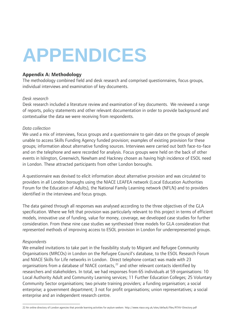# <span id="page-20-0"></span>**APPENDICES**

#### **Appendix A: Methodology**

The methodology combined field and desk research and comprised questionnaires, focus groups, individual interviews and examination of key documents.

#### *Desk research*

Desk research included a literature review and examination of key documents. We reviewed a range of reports, policy statements and other relevant documentation in order to provide background and contextualise the data we were receiving from respondents.

#### *Data collection*

We used a mix of interviews, focus groups and a questionnaire to gain data on the groups of people unable to access Skills Funding Agency funded provision; examples of existing provision for these groups; information about alternative funding sources. Interviews were carried out both face-to-face and on the telephone and were recorded for analysis. Focus groups were held on the back of other events in Islington, Greenwich, Newham and Hackney chosen as having high incidence of ESOL need in London. These attracted participants from other London boroughs.

A questionnaire was devised to elicit information about alternative provision and was circulated to providers in all London boroughs using the NIACE LEAFEA network (Local Education Authorities Forum for the Education of Adults), the National Family Learning network (NFLN) and to providers identified in the interviews and focus groups.

The data gained through all responses was analysed according to the three objectives of the GLA specification. Where we felt that provision was particularly relevant to this project in terms of efficient models, innovative use of funding, value for money, coverage, we developed case studies for further consideration. From these nine case studies we synthesised three models for GLA consideration that represented methods of improving access to ESOL provision in London for underrepresented groups.

#### *Respondents*

We emailed invitations to take part in the feasibility study to Migrant and Refugee Community Organisations (MRCOs) in London on the Refugee Council's database, to the ESOL Research Forum and NIACE Skills for Life networks in London. Direct telephone contact was made with 23 organisations from a database of NIACE contacts,<sup>[22](#page-20-1)</sup> and other relevant contacts identified by researchers and stakeholders. In total, we had responses from 65 individuals at 59 organisations: 10 Local Authority Adult and Community Learning services; 11 Further Education Colleges; 25 Voluntary Community Sector organisations; two private training providers; a funding organisation; a social enterprise; a government department; 3 not for profit organisations; union representatives; a social enterprise and an independent research centre.

<span id="page-20-1"></span> $\overline{a}$ 22 An online directory of London agencies that provide learning activities for asylum seekers <http://www.niace.org.uk/sites/default/files/RTAV-Directory.pdf>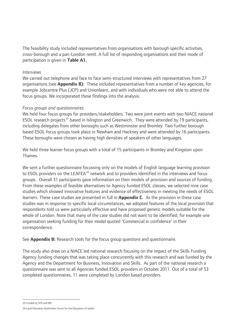The feasibility study included representatives from organisations with borough specific activities, cross-borough and a pan-London remit. A full list of responding organisations and their mode of participation is given in **Table A1.**

#### *Interviews*

We carried out telephone and face to face semi-structured interviews with representatives from 27 organisations (see **Appendix B)**. These included representatives from a number of key agencies, for example Jobcentre Plus (JCP) and Unionlearn, and with individuals who were not able to attend the focus groups. We incorporated these findings into the analysis.

#### *Focus groups and questionnaires*

We held four focus groups for providers/stakeholders. Two were joint events with two NIACE national ESOL research projects<sup>[23](#page-21-0)</sup> based in Islington and Greenwich. They were attended by 19 participants, including delegates from other boroughs such as Westminster and Bromley. Two further borough based ESOL focus groups took place in Newham and Hackney and were attended by 16 participants. These boroughs were chosen as having high densities of speakers of other languages.

We held three learner focus groups with a total of 15 participants in Bromley and Kingston upon Thames.

We sent a further questionnaire focussing only on the models of English language learning provision to ESOL providers on the LEAFEA<sup>[24](#page-21-1)</sup> network and to providers identified in the interviews and focus groups. Overall 31 participants gave information on their models of provision and sources of funding. From these examples of feasible alternatives to Agency funded ESOL classes, we selected nine case studies which showed innovative features and evidence of effectiveness in meeting the needs of ESOL learners. These case studies are presented in full in **Appendix C**. As the provision in these case studies was in response to specific local circumstances, we adopted features of the local provision that respondents told us were particularly effective and have proposed generic models suitable for the whole of London. Note that many of the case studies did not want to be identified; for example one organisation seeking funding for their model quoted 'Commercial in confidence' in their correspondence.

See **Appendix B:** Research tools for the focus group questions and questionnaire.

The study also drew on a NIACE led national research focusing on the impact of the Skills Funding Agency funding changes that was taking place concurrently with this research and was funded by the Agency and the Department for Business, Innovation and Skills. As part of the national research a questionnaire was sent to all Agencies funded ESOL providers in October 2011. Out of a total of 53 completed questionnaires, 11 were completed by London based providers.

23 Funded by SFA and BIS

<span id="page-21-1"></span><span id="page-21-0"></span><sup>24</sup> Local Education Authorities Forum for the Education of Adults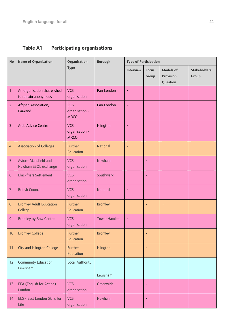## <span id="page-22-0"></span>**Table A1 Participating organisations**

| <b>No</b>      | <b>Name of Organisation</b>                        | <b>Organisation</b>                         | <b>Borough</b>       | <b>Type of Participation</b> |                       |                                                  |                              |
|----------------|----------------------------------------------------|---------------------------------------------|----------------------|------------------------------|-----------------------|--------------------------------------------------|------------------------------|
|                |                                                    | <b>Type</b>                                 |                      | <b>Interview</b>             | <b>Focus</b><br>Group | <b>Models of</b><br><b>Provision</b><br>Question | <b>Stakeholders</b><br>Group |
| $\mathbf{1}$   | An organisation that wished<br>to remain anonymous | <b>VCS</b><br>organisation                  | Pan London           |                              |                       |                                                  |                              |
| $\overline{2}$ | Afghan Association,<br>Paiwand                     | <b>VCS</b><br>organisation -<br><b>MRCO</b> | Pan London           |                              |                       |                                                  |                              |
| $\overline{3}$ | <b>Arab Advice Centre</b>                          | <b>VCS</b><br>organisation -<br><b>MRCO</b> | Islington            |                              |                       |                                                  |                              |
| $\overline{4}$ | <b>Association of Colleges</b>                     | Further<br>Education                        | <b>National</b>      |                              |                       |                                                  |                              |
| 5              | Aston- Mansfield and<br>Newham ESOL exchange       | <b>VCS</b><br>organisation                  | Newham               |                              | $\bullet$             |                                                  |                              |
| $6\phantom{1}$ | <b>Blackfriars Settlement</b>                      | <b>VCS</b><br>organisation                  | Southwark            |                              | $\bullet$             |                                                  |                              |
| 7              | <b>British Council</b>                             | <b>VCS</b><br>organisation                  | <b>National</b>      |                              |                       |                                                  |                              |
| $\,8\,$        | <b>Bromley Adult Education</b><br>College          | Further<br>Education                        | <b>Bromley</b>       |                              |                       |                                                  |                              |
| 9              | <b>Bromley by Bow Centre</b>                       | <b>VCS</b><br>organisation                  | <b>Tower Hamlets</b> | $\ddot{\phantom{0}}$         |                       |                                                  |                              |
| 10             | <b>Bromley College</b>                             | Further<br>Education                        | <b>Bromley</b>       |                              |                       |                                                  |                              |
| 11             | City and Islington College                         | Further<br>Education                        | Islington            |                              |                       |                                                  |                              |
| 12             | <b>Community Education</b><br>Lewisham             | <b>Local Authority</b>                      | Lewisham             |                              |                       |                                                  |                              |
| 13             | EFA (English for Action)<br>London                 | <b>VCS</b><br>organisation                  | Greenwich            |                              | $\bullet$             |                                                  |                              |
| 14             | ELS - East London Skills for<br>Life               | <b>VCS</b><br>organisation                  | Newham               |                              | $\bullet$             |                                                  |                              |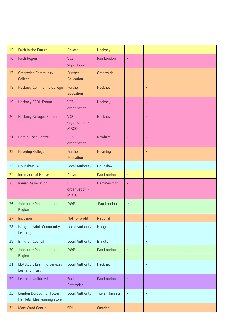| 15 | Faith in the Future                                         | Private                                     | Hackney              |                      | $\bullet$ |           |           |
|----|-------------------------------------------------------------|---------------------------------------------|----------------------|----------------------|-----------|-----------|-----------|
| 16 | <b>Faith Regen</b>                                          | <b>VCS</b><br>organisation                  | Pan London           |                      |           |           |           |
| 17 | <b>Greenwich Community</b><br>College                       | Further<br>Education                        | Greenwich            |                      |           |           |           |
| 18 | <b>Hackney Community College</b>                            | Further<br>Education                        | Hackney              |                      |           |           |           |
| 19 | Hackney ESOL Forum                                          | <b>VCS</b><br>organisation                  | Hackney              |                      |           |           |           |
| 20 | Hackney Refugee Forum                                       | <b>VCS</b><br>organisation -<br><b>MRCO</b> | Hackney              |                      |           |           |           |
| 21 | <b>Harold Road Centre</b>                                   | <b>VCS</b><br>organisation                  | Newham               |                      |           |           |           |
| 22 | <b>Havering College</b>                                     | Further<br>Education                        | Havering             |                      | $\bullet$ |           |           |
| 23 | <b>Hounslow LA</b>                                          | <b>Local Authority</b>                      | Hounslow             |                      |           | $\bullet$ |           |
| 24 | <b>International House</b>                                  | Private                                     | Pan London           | $\bullet$            |           | $\bullet$ |           |
| 25 | <b>Iranian Association</b>                                  | <b>VCS</b><br>organisation -<br><b>MRCO</b> | Hammersmith          |                      |           |           |           |
| 26 | Jobcentre Plus - London<br>Region                           | <b>DWP</b>                                  | Pan London           | $\ddot{\phantom{0}}$ |           |           |           |
| 27 | Inclusion                                                   | Not for profit                              | <b>National</b>      |                      |           |           | $\bullet$ |
| 28 | <b>Islington Adult Community</b><br>Learning                | <b>Local Authority</b>                      | Islington            |                      | $\bullet$ |           |           |
| 29 | <b>Islington Council</b>                                    | <b>Local Authority</b>                      | Islington            |                      | $\bullet$ |           |           |
| 30 | Jobcentre Plus - London<br>Region                           | <b>DWP</b>                                  | Pan London           |                      |           |           |           |
| 31 | <b>LEA Adult Learning Services</b><br><b>Learning Trust</b> | Local Authority                             | Hackney              |                      | $\bullet$ |           |           |
| 32 | <b>Learning Unlimited</b>                                   | Social<br>Enterprise                        | Pan London           |                      |           | $\bullet$ |           |
| 33 | London Borough of Tower<br>Hamlets, Idea learning store     | <b>Local Authority</b>                      | <b>Tower Hamlets</b> |                      | $\bullet$ | ٠         |           |
| 34 | <b>Mary Ward Centre</b>                                     | <b>SDI</b>                                  | Camden               | $\bullet$            |           |           |           |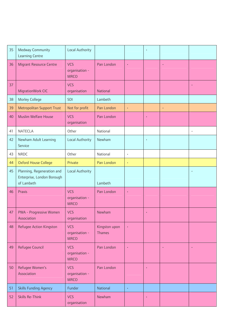| 35 | <b>Medway Community</b><br><b>Learning Centre</b>                      | <b>Local Authority</b>                      |                                |           |           |           |           |
|----|------------------------------------------------------------------------|---------------------------------------------|--------------------------------|-----------|-----------|-----------|-----------|
| 36 | <b>Migrant Resource Centre</b>                                         | <b>VCS</b><br>organisation -<br><b>MRCO</b> | Pan London                     | $\bullet$ |           | $\bullet$ |           |
| 37 | MigrationWork CIC                                                      | <b>VCS</b><br>organisation                  | <b>National</b>                |           |           |           | $\bullet$ |
| 38 | Morley College                                                         | SDI                                         | Lambeth                        |           |           |           |           |
| 39 | <b>Metropolitan Support Trust</b>                                      | Not for profit                              | Pan London                     | $\bullet$ |           | $\bullet$ |           |
| 40 | <b>Muslim Welfare House</b>                                            | <b>VCS</b><br>organisation                  | Pan London                     |           |           |           |           |
| 41 | <b>NATECLA</b>                                                         | Other                                       | National                       |           |           |           | $\bullet$ |
| 42 | Newham Adult Learning<br>Service                                       | <b>Local Authority</b>                      | Newham                         |           | $\bullet$ |           |           |
| 43 | <b>NRDC</b>                                                            | Other                                       | National                       | $\bullet$ |           |           |           |
| 44 | <b>Oxford House College</b>                                            | Private                                     | Pan London                     |           |           |           |           |
| 45 | Planning, Regeneration and<br>Enterprise, London Borough<br>of Lambeth | <b>Local Authority</b>                      | Lambeth                        |           |           |           |           |
| 46 | Praxis                                                                 | <b>VCS</b><br>organisation -<br><b>MRCO</b> | Pan London                     | $\bullet$ |           |           |           |
| 47 | PWA - Progressive Women<br>Association                                 | <b>VCS</b><br>organisation                  | Newham                         |           | $\bullet$ |           |           |
| 48 | Refugee Action Kingston                                                | <b>VCS</b><br>organisation -<br><b>MRCO</b> | Kingston upon<br><b>Thames</b> |           |           |           |           |
| 49 | Refugee Council                                                        | <b>VCS</b><br>organisation -<br><b>MRCO</b> | Pan London                     |           |           |           |           |
| 50 | Refugee Women's<br>Association                                         | <b>VCS</b><br>organisation -<br><b>MRCO</b> | Pan London                     |           |           |           |           |
| 51 | <b>Skills Funding Agency</b>                                           | Funder                                      | National                       | $\bullet$ |           |           |           |
| 52 | <b>Skills Re-Think</b>                                                 | <b>VCS</b><br>organisation                  | Newham                         |           |           |           |           |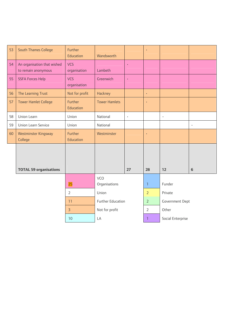| 53 | South Thames College                               | Further<br>Education        | Wandsworth           |                      |                        |                   |           |
|----|----------------------------------------------------|-----------------------------|----------------------|----------------------|------------------------|-------------------|-----------|
| 54 | An organisation that wished<br>to remain anonymous | <b>VCS</b><br>organisation  | Lambeth              | $\bullet$            |                        |                   |           |
| 55 | <b>SSFA Forces Help</b>                            | <b>VCS</b><br>organisation  | Greenwich            | $\ddot{\phantom{0}}$ |                        |                   |           |
| 56 | The Learning Trust                                 | Not for profit              | Hackney              |                      | $\bullet$              |                   |           |
| 57 | <b>Tower Hamlet College</b>                        | Further<br>Education        | <b>Tower Hamlets</b> |                      | $\bullet$              |                   |           |
| 58 | Union Learn                                        | Union                       | National             | $\bullet$            |                        | $\bullet$         |           |
| 59 | Union Learn Service                                | Union                       | National             |                      |                        |                   | $\bullet$ |
| 60 | <b>Westminster Kingsway</b><br>College             | <b>Further</b><br>Education | Westminster          |                      | $\bullet$              |                   |           |
|    | <b>TOTAL 59 organisations</b>                      |                             |                      | 27                   | 28                     | 12                | 6         |
|    |                                                    |                             | <b>VCO</b>           |                      |                        |                   |           |
|    |                                                    | 25                          | Organisations        |                      | $\mathbf{1}$           | Funder            |           |
|    |                                                    | $\overline{2}$              | Union                |                      | $\overline{2}$         | Private           |           |
|    | Further Education<br>11                            |                             |                      | $\overline{2}$       | <b>Government Dept</b> |                   |           |
|    |                                                    | $\overline{3}$              | Not for profit       |                      | $\overline{2}$         | Other             |           |
|    |                                                    | 10                          | LA                   |                      | 1                      | Social Enterprise |           |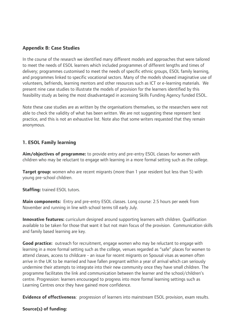#### <span id="page-26-0"></span>**Appendix B: Case Studies**

In the course of the research we identified many different models and approaches that were tailored to meet the needs of ESOL learners which included programmes of different lengths and times of delivery; programmes customised to meet the needs of specific ethnic groups, ESOL family learning, and programmes linked to specific vocational sectors. Many of the models showed imaginative use of volunteers, befriends, learning mentors and other resources such as ICT or e-learning materials. We present nine case studies to illustrate the models of provision for the learners identified by this feasibility study as being the most disadvantaged in accessing Skills Funding Agency funded ESOL.

Note these case studies are as written by the organisations themselves, so the researchers were not able to check the validity of what has been written. We are not suggesting these represent best practice, and this is not an exhaustive list. Note also that some writers requested that they remain anonymous.

### **1. ESOL Family learning**

**Aim/objectives of programme:** to provide entry and pre-entry ESOL classes for women with children who may be reluctant to engage with learning in a more formal setting such as the college.

**Target group:** women who are recent migrants (more than 1 year resident but less than 5) with young pre-school children.

**Staffing:** trained ESOL tutors.

**Main components:** Entry and pre-entry ESOL classes. Long course: 2.5 hours per week from November and running in line with school terms till early July.

**Innovative features:** curriculum designed around supporting learners with children. Qualification available to be taken for those that want it but not main focus of the provision. Communication skills and family based learning are key.

**Good practice:** outreach for recruitment, engage women who may be reluctant to engage with learning in a more formal setting such as the college, venues regarded as "safe" places for women to attend classes, access to childcare - an issue for recent migrants on Spousal visas as women often arrive in the UK to be married and have fallen pregnant within a year of arrival which can seriously undermine their attempts to integrate into their new community once they have small children. The programme facilitates the link and communication between the learner and the school/children's centre. Progression: learners encouraged to progress into more formal learning settings such as Learning Centres once they have gained more confidence.

**Evidence of effectiveness**: progression of learners into mainstream ESOL provision, exam results.

#### **Source(s) of funding:**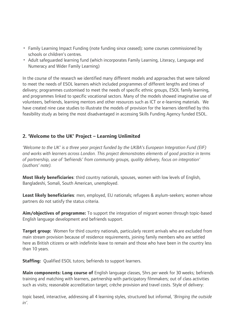- <span id="page-27-0"></span>• Family Learning Impact Funding (note funding since ceased); some courses commissioned by schools or children's centres.
- Adult safeguarded learning fund (which incorporates Family Learning, Literacy, Language and Numeracy and Wider Family Learning)

In the course of the research we identified many different models and approaches that were tailored to meet the needs of ESOL learners which included programmes of different lengths and times of delivery; programmes customised to meet the needs of specific ethnic groups, ESOL family learning, and programmes linked to specific vocational sectors. Many of the models showed imaginative use of volunteers, befriends, learning mentors and other resources such as ICT or e-learning materials. We have created nine case studies to illustrate the models of provision for the learners identified by this feasibility study as being the most disadvantaged in accessing Skills Funding Agency funded ESOL.

### **2. 'Welcome to the UK' Project – Learning Unlimited**

*'Welcome to the UK' is a three year project funded by the UKBA's European Integration Fund (EIF) and works with learners across London. This project demonstrates elements of good practice in terms of partnership, use of 'befriends' from community groups, quality delivery, focus on integration' (authors' note).* 

**Most likely beneficiaries**: third country nationals, spouses, women with low levels of English, Bangladeshi, Somali, South American, unemployed.

**Least likely beneficiaries**: men, employed, EU nationals; refugees & asylum-seekers; women whose partners do not satisfy the status criteria.

**Aim/objectives of programme:** To support the integration of migrant women through topic-based English language development and befriends support.

**Target group:** Women for third country nationals, particularly recent arrivals who are excluded from main stream provision because of residence requirements, joining family members who are settled here as British citizens or with indefinite leave to remain and those who have been in the country less than 10 years.

**Staffing:** Qualified ESOL tutors; befriends to support learners.

**Main components: Long course of** English language classes, 5hrs per week for 30 weeks; befriends training and matching with learners, partnership with participatory filmmakers; out of class activities such as visits; reasonable accreditation target; crèche provision and travel costs. Style of delivery:

topic based, interactive, addressing all 4 learning styles, structured but informal, '*Bringing the outside in'.*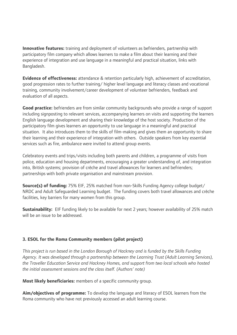**Innovative features:** training and deployment of volunteers as befrienders, partnership with participatory film company which allows learners to make a film about their learning and their experience of integration and use language in a meaningful and practical situation, links with Bangladesh.

**Evidence of effectiveness:** attendance & retention particularly high, achievement of accreditation, good progression rates to further training/ higher level language and literacy classes and vocational training, community involvement/career development of volunteer befrienders, feedback and evaluation of all aspects.

**Good practice:** befrienders are from similar community backgrounds who provide a range of support including signposting to relevant services, accompanying learners on visits and supporting the learners English language development and sharing their knowledge of the host society. Production of the participatory film gives learners an opportunity to use language in a meaningful and practical situation. It also introduces them to the skills of film-making and gives them an opportunity to share their learning and their experience of integration with others. Outside speakers from key essential services such as fire, ambulance were invited to attend group events.

Celebratory events and trips/visits including both parents and children, a programme of visits from police, education and housing departments, encouraging a greater understanding of, and integration into, British systems; provision of crèche and travel allowances for learners and befrienders; partnerships with both private organisation and mainstream provision.

**Source(s) of funding:** 75% EIF, 25% matched from non-Skills Funding Agency college budget/ NRDC and Adult Safeguarded Learning budget. The funding covers both travel allowances and crèche facilities, key barriers for many women from this group.

**Sustainability:** EIF funding likely to be available for next 2 years; however availability of 25% match will be an issue to be addressed.

#### **3. ESOL for the Roma Community members (pilot project)**

*This project is run based in the London Borough of Hackney and is funded by the Skills Funding Agency. It was developed through a partnership between the Learning Trust (Adult Learning Services), the Traveller Education Service and Hackney Homes, and support from two local schools who hosted the initial assessment sessions and the class itself. (Authors' note)* 

**Most likely beneficiaries:** members of a specific community group.

**Aim/objectives of programme:** To develop the language and literacy of ESOL learners from the Roma community who have not previously accessed an adult learning course.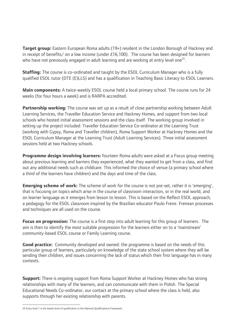**Target group:** Eastern European Roma adults (19+) resident in the London Borough of Hackney and in receipt of benefits/ on a low income (under £16,100).The course has been designed for learners who have not previously engaged in adult learning and are working at entry level one<sup>[25](#page-29-0)</sup>.

**Staffing:** The course is co-ordinated and taught by the ESOL Curriculum Manager who is a fully qualified ESOL tutor (DTE (E)LLS) and has a qualification in Teaching Basic Literacy to ESOL Learners.

**Main components:** A twice-weekly ESOL course held a local primary school. The course runs for 24 weeks (for four hours a week) and is RARPA accredited.

**Partnership working:** The course was set up as a result of close partnership working between Adult Learning Services, the Traveller Education Service and Hackney Homes, and support from two local schools who hosted initial assessment sessions and the class itself. The working group involved in setting up the project included: Traveller Education Service Co-ordinator at the Learning Trust (working with Gypsy, Roma and Traveller children), Roma Support Worker at Hackney Homes and the ESOL Curriculum Manager at the Learning Trust (Adult Learning Services). Three initial assessment sessions held at two Hackney schools.

**Programme design involving learners:** fourteen Roma adults were asked at a Focus group meeting about previous learning and barriers they experienced, what they wanted to get from a class, and find out any additional needs such as childcare. This informed the choice of venue (a primary school where a third of the learners have children) and the days and time of the class.

**Emerging scheme of work:** The scheme of work for the course is not pre-set, rather it is 'emerging', that is focusing on topics which arise in the course of classroom interaction, or in the real world, and on learner language as it emerges from lesson to lesson. This is based on the Reflect ESOL approach, a pedagogy for the ESOL classroom inspired by the Brazilian educator Paulo Freire. Freirean processes and techniques are all used on the course.

**Focus on progression:** The course is a first step into adult learning for this group of learners. The aim is then to identify the most suitable progression for the learners either on to a 'mainstream' community-based ESOL course or Family Learning course.

**Good practice:** Community developed and owned: the programme is based on the needs of this particular group of learners, particularly on knowledge of the state school system where they will be sending their children, and issues concerning the lack of status which their first language has in many contexts.

**Support:** There is ongoing support from Roma Support Worker at Hackney Homes who has strong relationships with many of the learners, and can communicate with them in Polish. The Special Educational Needs Co-ordinator, our contact at the primary school where the class is held, also supports through her existing relationship with parents.

<span id="page-29-0"></span> 25 Entry level 1 is the lowest level of qualification in the National Qualifications Framework.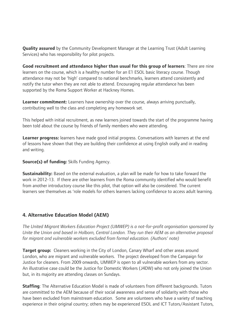<span id="page-30-0"></span>**Quality assured** by the Community Development Manager at the Learning Trust (Adult Learning Services) who has responsibility for pilot projects.

**Good recruitment and attendance higher than usual for this group of learners**: There are nine learners on the course, which is a healthy number for an E1 ESOL basic literacy course. Though attendance may not be 'high' compared to national benchmarks, learners attend consistently and notify the tutor when they are not able to attend. Encouraging regular attendance has been supported by the Roma Support Worker at Hackney Homes.

**Learner commitment:** Learners have ownership over the course, always arriving punctually, contributing well to the class and completing any homework set.

This helped with initial recruitment, as new learners joined towards the start of the programme having been told about the course by friends of family members who were attending.

**Learner progress:** learners have made good initial progress. Conversations with learners at the end of lessons have shown that they are building their confidence at using English orally and in reading and writing.

**Source(s) of funding:** Skills Funding Agency.

**Sustainability:** Based on the external evaluation, a plan will be made for how to take forward the work in 2012-13. If there are other learners from the Roma community identified who would benefit from another introductory course like this pilot, that option will also be considered. The current learners see themselves as 'role models for others learners lacking confidence to access adult learning.

### **4. Alternative Education Model (AEM)**

*The United Migrant Workers Education Project (UMWEP) is a not-for-profit organisation sponsored by Unite the Union and based in Holborn, Central London. They run their AEM as an alternative proposal for migrant and vulnerable workers excluded from formal education. (Authors' note)*

**Target group:** Cleaners working in the City of London, Canary Wharf and other areas around London, who are migrant and vulnerable workers. The project developed from the Campaign for Justice for cleaners. From 2009 onwards, UMWEP is open to all vulnerable workers from any sector. An illustrative case could be the Justice for Domestic Workers (J4DW) who not only joined the Union but, in its majority are attending classes on Sundays.

**Staffing**: The Alternative Education Model is made of volunteers from different backgrounds. Tutors are committed to the AEM because of their social awareness and sense of solidarity with those who have been excluded from mainstream education. Some are volunteers who have a variety of teaching experience in their original country; others may be experienced ESOL and ICT Tutors/Assistant Tutors,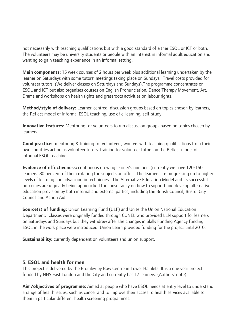<span id="page-31-0"></span>not necessarily with teaching qualifications but with a good standard of either ESOL or ICT or both. The volunteers may be university students or people with an interest in informal adult education and wanting to gain teaching experience in an informal setting.

**Main components:** 15 week courses of 2 hours per week plus additional learning undertaken by the learner on Saturdays with some tutors' meetings taking place on Sundays. Travel costs provided for volunteer tutors. (We deliver classes on Saturdays and Sundays).The programme concentrates on ESOL and ICT but also organises courses on English Pronunciation, Dance Therapy Movement, Art, Drama and workshops on health rights and grassroots activities on labour rights.

**Method/style of delivery:** Learner-centred, discussion groups based on topics chosen by learners, the Reflect model of informal ESOL teaching, use of e-learning, self-study.

**Innovative features:** Mentoring for volunteers to run discussion groups based on topics chosen by learners.

**Good practice:** mentoring & training for volunteers, workers with teaching qualifications from their own countries acting as volunteer tutors, training for volunteer tutors on the Reflect model of informal ESOL teaching.

**Evidence of effectiveness:** continuous growing learner's numbers (currently we have 120-150 learners. 80 per cent of them rotating the subjects on offer. The learners are progressing on to higher levels of learning and advancing in techniques. The Alternative Education Model and its successful outcomes are regularly being approached for consultancy on how to support and develop alternative education provision by both internal and external parties, including the British Council, Bristol City Council and Action Aid.

**Source(s) of funding:** Union Learning Fund (ULF) and Unite the Union National Education Department. Classes were originally funded through CONEL who provided LLN support for learners on Saturdays and Sundays but they withdrew after the changes in Skills Funding Agency funding ESOL in the work place were introduced. Union Learn provided funding for the project until 2010.

**Sustainability:** currently dependent on volunteers and union support.

#### **5. ESOL and health for men**

This project is delivered by the Bromley by Bow Centre in Tower Hamlets. It is a one year project funded by NHS East London and the City and currently has 17 learners. (Authors' note)

**Aim/objectives of programme:** Aimed at people who have ESOL needs at entry level to understand a range of health issues, such as cancer and to improve their access to health services available to them in particular different health screening programmes.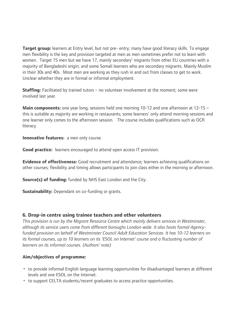<span id="page-32-0"></span>**Target group:** learners at Entry level, but not pre- entry; many have good literacy skills. To engage men flexibility is the key and provision targeted at men as men sometimes prefer not to learn with women. Target 15 men but we have 17, mainly secondary' migrants from other EU countries with a majority of Bangladeshi origin, and some Somali learners who are secondary migrants. Mainly Muslim in their 30s and 40s. Most men are working as they rush in and out from classes to get to work. Unclear whether they are in formal or informal employment.

**Staffing:** Facilitated by trained tutors – no volunteer involvement at the moment: some were involved last year.

**Main components:** one year long; sessions held one morning 10-12 and one afternoon at 12-15 – this is suitable as majority are working in restaurants; some learners' only attend morning sessions and one learner only comes to the afternoon session. The course includes qualifications such as OCR literacy.

**Innovative features:** a men only course.

**Good practice:** learners encouraged to attend open access IT provision.

**Evidence of effectiveness:** Good recruitment and attendance; learners achieving qualifications on other courses; flexibility and timing allows participants to join class either in the morning or afternoon.

**Source(s) of funding:** funded by NHS East London and the City.

**Sustainability:** Dependant on co-funding or grants.

#### **6. Drop-in centre using trainee teachers and other volunteers**

*This provision is run by the Migrant Resource Centre which mainly delivers services in Westminster, although its service users come from different boroughs London-wide. It also hosts formal Agencyfunded provision on behalf of Westminster Council Adult Education Services. It has 10-12 learners on its formal courses, up to 10 learners on its 'ESOL on Internet' course and a fluctuating number of learners on its informal courses. (Authors' note)* 

#### **Aim/objectives of programme:**

- to provide informal English language learning opportunities for disadvantaged learners at different levels and one ESOL on the Internet.
- to support CELTA students/recent graduates to access practice opportunities.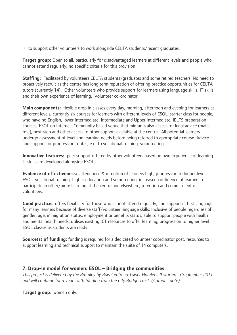<span id="page-33-0"></span>• to support other volunteers to work alongside CELTA students/recent graduates.

**Target group:** Open to all, particularly for disadvantaged learners at different levels and people who cannot attend regularly; no specific criteria for this provision.

**Staffing:** Facilitated by volunteers CELTA students/graduates and some retired teachers. No need to proactively recruit as the centre has long term reputation of offering practice opportunities for CELTA tutors (currently 14)**.** Other volunteers who provide support for learners using language skills, IT skills and their own experience of learning. Volunteer co-ordinator.

**Main components:** flexible drop in classes every day, morning, afternoon and evening for learners at different levels; currently six courses for learners with different levels of ESOL: starter class for people, who have no English, lower Intermediate, Intermediate and Upper Intermediate, IELTS preparation courses, ESOL on Internet. Community based venue that migrants also access for legal advice (main role), next step and other access to other support available at the centre. All potential learners undergo assessment of level and learning needs before being referred to appropriate course. Advice and support for progression routes, e.g. to vocational training, volunteering.

**Innovative features:** peer support offered by other volunteers based on own experience of learning. IT skills are developed alongside ESOL.

**Evidence of effectiveness:** attendance & retention of learners high, progression to higher level ESOL, vocational training, higher education and volunteering, increased confidence of learners to participate in other/more learning at the centre and elsewhere, retention and commitment of volunteers.

**Good practice:** offers flexibility for those who cannot attend regularly, and support in first language for many learners because of diverse staff/volunteer language skills; Inclusive of people regardless of gender, age, immigration status, employment or benefits status, able to support people with health and mental health needs, utilises existing ICT resources to offer learning, progression to higher level ESOL classes as students are ready.

**Source(s) of funding:** funding is required for a dedicated volunteer coordinator post, resources to support learning and technical support to maintain the suite of 14 computers.

#### **7. Drop-in model for women: ESOL – Bridging the communities**

*This project is delivered by the Bromley by Bow Centre in Tower Hamlets. It started in September 2011 and will continue for 3 years with funding from the City Bridge Trust. (Authors' note)* 

**Target group**: women only.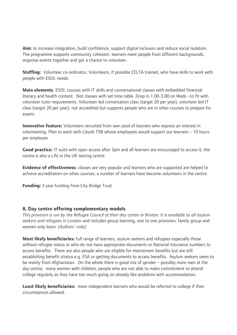<span id="page-34-0"></span>**Aim:** to increase integration, build confidence, support digital inclusion and reduce social isolation. The programme supports community cohesion: learners meet people from different backgrounds, organise events together and get a chance to volunteer.

**Staffing:** Volunteer co-ordinator, Volunteers, if possible CELTA trained, who have skills to work with people with ESOL needs.

**Main elements**: ESOL courses with IT skills and conversational classes with embedded financial literacy and health content. Not classes with set time table. Drop in 1.00-3.00 on Weds –to fit with volunteer tutor requirements. Volunteer led conversation class (target 20 per year), volunteer led IT class (target 20 per year), not accredited but supports people who are in other courses to prepare for exams.

**Innovative feature:** Volunteers recruited from own pool of learners who express an interest in volunteering. Plan to work with Lloyds TSB whose employees would support our learners – 10 hours per employee.

**Good practice:** IT suite with open access after 3pm and all learners are encouraged to access it; the centre is also a Life in the UK testing centre.

**Evidence of effectiveness**: classes are very popular and learners who are supported are helped to achieve accreditation on other courses; a number of learners have become volunteers in the centre.

**Funding:** 3 year funding from City Bridge Trust.

#### **8. Day centre offering complementary models**

*This provision is run by the Refugee Council at their day centre in Brixton. It is available to all asylum seekers and refugees in London* and includes group learning, one to one provision, family group and women only learn*. (Authors' note)* 

**Most likely beneficiaries:** full range of learners, asylum seekers and refugees especially those without refugee status or who do not have appropriate documents or National Insurance numbers to access benefits. There are also people who are eligible for mainstream benefits but are still establishing benefit stratus e.g. ESA or getting documents to access benefits. Asylum seekers seem to be mainly from Afghanistan. On the whole there is good mix of gender – possibly more men at the day centre; many women with children; people who are not able to make commitment to attend college regularly as they have too much going on already like problems with accommodation.

**Least likely beneficiaries:** more independent learners who would be referred to college if their circumstances allowed.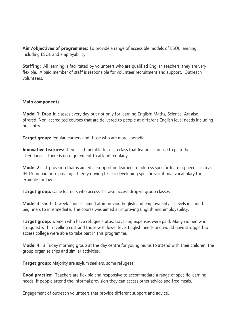**Aim/objectives of programmes:** To provide a range of accessible models of ESOL learning including ESOL and employability.

**Staffing:** All learning is facilitated by volunteers who are qualified English teachers, they are very flexible. A paid member of staff is responsible for volunteer recruitment and support. Outreach volunteers.

#### **Main components**

**Model 1:** Drop-in classes every day but not only for learning English: Maths, Science, Art also offered. Non-accredited courses that are delivered to people at different English level needs including pre-entry.

**Target group:** regular learners and those who are more sporadic.

**Innovative features:** there is a timetable for each class that learners can use to plan their attendance. There is no requirement to attend regularly.

**Model 2:** 1:1 provision that is aimed at supporting learners to address specific learning needs such as IELTS preparation, passing a theory driving test or developing specific vocational vocabulary for example for law.

**Target group:** same learners who access 1:1 also access drop-in group classes.

**Model 3:** short 10 week courses aimed at improving English and employability. Levels included beginners to intermediate. The course was aimed at improving English and employability.

**Target group:** women who have refugee status; travelling expenses were paid. Many women who struggled with travelling cost and those with lower level English needs and would have struggled to access college were able to take part in this programme.

**Model 4:** a Friday morning group at the day centre for young mums to attend with their children; the group organise trips and similar activities.

**Target group:** Majority are asylum seekers, some refugees.

**Good practice:** Teachers are flexible and responsive to accommodate a range of specific learning needs. If people attend the informal provision they can access other advice and free meals.

Engagement of outreach volunteers that provide different support and advice.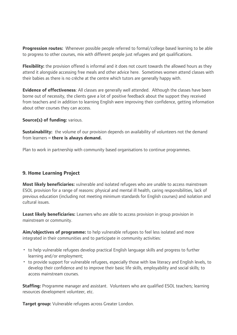<span id="page-36-0"></span>**Progression routes:** Whenever possible people referred to formal/college based learning to be able to progress to other courses, mix with different people just refugees and get qualifications.

**Flexibility:** the provision offered is informal and it does not count towards the allowed hours as they attend it alongside accessing free meals and other advice here. Sometimes women attend classes with their babies as there is no crèche at the centre which tutors are generally happy with.

**Evidence of effectiveness**: All classes are generally well attended. Although the classes have been borne out of necessity, the clients gave a lot of positive feedback about the support they received from teachers and in addition to learning English were improving their confidence, getting information about other courses they can access.

#### **Source(s) of funding: various.**

**Sustainability:** the volume of our provision depends on availability of volunteers not the demand from learners **– there is always demand.** 

Plan to work in partnership with community based organisations to continue programmes.

#### **9. Home Learning Project**

**Most likely beneficiaries:** vulnerable and isolated refugees who are unable to access mainstream ESOL provision for a range of reasons: physical and mental ill health, caring responsibilities, lack of previous education (including not meeting minimum standards for English courses) and isolation and cultural issues.

**Least likely beneficiaries:** Learners who are able to access provision in group provision in mainstream or community.

**Aim/objectives of programme:** to help vulnerable refugees to feel less isolated and more integrated in their communities and to participate in community activities:

- to help vulnerable refugees develop practical English language skills and progress to further learning and/or employment;
- to provide support for vulnerable refugees, especially those with low literacy and English levels, to develop their confidence and to improve their basic life skills, employability and social skills; to access mainstream courses.

**Staffing:** Programme manager and assistant. Volunteers who are qualified ESOL teachers; learning resources development volunteer, etc.

**Target group:** Vulnerable refugees across Greater London.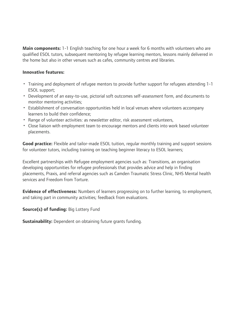**Main components:** 1-1 English teaching for one hour a week for 6 months with volunteers who are qualified ESOL tutors, subsequent mentoring by refugee learning mentors, lessons mainly delivered in the home but also in other venues such as cafes, community centres and libraries.

#### **Innovative features:**

- Training and deployment of refugee mentors to provide further support for refugees attending 1-1 ESOL support;
- Development of an easy-to-use, pictorial soft outcomes self-assessment form, and documents to monitor mentoring activities;
- Establishment of conversation opportunities held in local venues where volunteers accompany learners to build their confidence;
- Range of volunteer activities: as newsletter editor, risk assessment volunteers,
- Close liaison with employment team to encourage mentors and clients into work based volunteer placements.

**Good practice:** Flexible and tailor-made ESOL tuition, regular monthly training and support sessions for volunteer tutors, including training on teaching beginner literacy to ESOL learners;

Excellent partnerships with Refugee employment agencies such as: Transitions, an organisation developing opportunities for refugee professionals that provides advice and help in finding placements, Praxis, and referral agencies such as Camden Traumatic Stress Clinic, NHS Mental health services and Freedom from Torture.

**Evidence of effectiveness:** Numbers of learners progressing on to further learning, to employment, and taking part in community activities; feedback from evaluations.

#### **Source(s) of funding: Big Lottery Fund**

**Sustainability:** Dependent on obtaining future grants funding.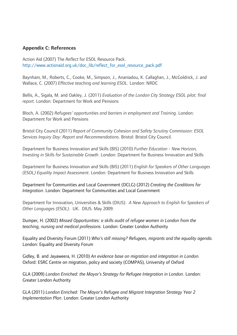#### <span id="page-38-0"></span>**Appendix C: References**

Action Aid (2007) The *Reflect* for ESOL Resource Pack. http://www.actionaid.org.uk/doc\_lib/reflect\_for\_esol\_resource\_pack.pdf

Baynham, M., Roberts, C., Cooke, M., Simpson, J., Ananiadou, K. Callaghan, J., McGoldrick, J. and Wallace, C. (2007) *Effective teaching and learning ESOL.* London: NRDC

Bellis, A., Sigala, M. and Oakley, J. (2011) *Evaluation of the London City Strategy ESOL pilot: final report.* London: Department for Work and Pensions

Bloch, A. (2002) *Refugees' opportunities and barriers in employment and Training.* London: Department for Work and Pensions

Bristol City Council (2011) *Report of Community Cohesion and Safety Scrutiny Commission: ESOL Services Inquiry Day: Report and Recommendations*. Bristol: Bristol City Council.

Department for Business Innovation and Skills (BIS) (2010) *Further Education - New Horizon, Investing in Skills for Sustainable Growth*. London: Department for Business Innovation and Skills

Department for Business Innovation and Skills (BIS) (2011) *English for Speakers of Other Languages (ESOL) Equality Impact Assessment*. London: Department for Business Innovation and Skills

Department for Communities and Local Government (DCLG) (2012) *Creating the Conditions for Integration*. London: Department for Communities and Local Government

Department for Innovation, Universities & Skills (DIUS). *A New Approach to English for Speakers of Other Languages (ESOL)*. UK. DIUS. May 2009.

Dumper, H. (2002) *Missed Opportunities: a skills audit of refugee women in London from the teaching, nursing and medical professions.* London: Greater London Authority

Equality and Diversity Forum (2011) *Who's still missing? Refugees, migrants and the equality agenda.* London: Equality and Diversity Forum

Gidley, B. and Jayaweera, H. (2010) *An evidence base on migration and integration in London.* Oxford: ESRC Centre on migration, policy and society (COMPAS), University of Oxford

GLA (2009) *London Enriched: the Mayor's Strategy for Refugee Integration in London*. London: Greater London Authority

GLA (2011) *London Enriched: The Mayor's Refugee and Migrant Integration Strategy Year 2 Implementation Plan*. London: Greater London Authority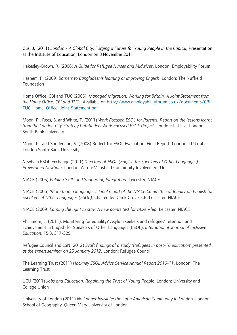Gus, J. (2011) *London - A Global City: Forging a Future for Young People in the Capital*, Presentation at the Institute of Education, London on 8 November 2011

Hakesley-Brown, R. (2006) *A Guide for Refugee Nurses and Midwives*. London: Employability Forum

Hashem, F. (2009) *Barriers to Bangladeshis learning or improving English*. London: The Nuffield Foundation

Home Office, CBI and TUC (2005). *Managed Migration: Working for Britain. A Joint Statement from the Home Office, CBI and TUC.* Available on [http://www.employabilityforum.co.uk/documents/CBI-](http://www.employabilityforum.co.uk/documents/CBI-TUC-Home_Office_Joint-Statement.pdf)[TUC-Home\\_Office\\_Joint-Statement.pdf](http://www.employabilityforum.co.uk/documents/CBI-TUC-Home_Office_Joint-Statement.pdf)

Moon, P., Rees, S. and White, T. (2011) *Work Focused ESOL for Parents: Report on the lessons learnt from the London City Strategy Pathfinders Work Focused ESOL Project*. London: LLU+ at London South Bank University

Moon, P., and Sunderland, S. (2008) Reflect for ESOL Evaluation: Final Report, London: LLU+ at London South Bank University

Newham ESOL Exchange (2011) *Directory of ESOL (English for Speakers of Other Languages) Provision in Newham.* London: Aston-Mansfield Community Involvement Unit

NIACE (2005) *Valuing Skills and Supporting Integration*. Leicester: NIACE.

NIACE (2006) *'More than a language...' Final report of the NIACE Committee of Inquiry on English for Speakers of Other Languages (ESOL)*, Chaired by Derek Grover CB. Leicester: NIACE

NIACE (2009) *Earning the right to stay: A new points test for citizenship.* Leicester: NIACE

Phillimore, J. (2011): Monitoring for equality? Asylum seekers and refugees' retention and achievement in English for Speakers of Other Languages (ESOL), *International Journal of Inclusive Education*, 15:3, 317-329

Refugee Council and LSN (2012) *Draft findings of a study 'Refugees in post-16 education' presented at the expert seminar on 25 January 2012*. London: Refugee Council

The Learning Trust (2011) *Hackney ESOL Advice Service Annual Report 2010-11*. London: The Learning Trust

UCU (2011) *Jobs and Education, Regaining the Trust of Young Peop*le. London: University and College Union

University of London (2011) *No Longer Invisible: the Latin American Community in Lond*on. London: School of Geography, Queen Mary University of London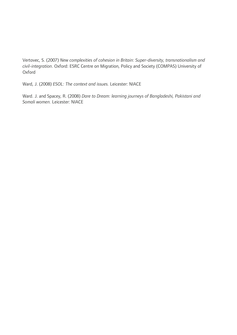Vertovec, S. (2007) *New complexities of cohesion in Britain: Super-diversity, transnationalism and civil-integration*. Oxford: ESRC Centre on Migration, Policy and Society (COMPAS) University of Oxford

Ward, J. (2008) *ESOL: The context and issues.* Leicester: NIACE

Ward. J. and Spacey, R. (2008) *Dare to Dream: learning journeys of Bangladeshi, Pakistani and Somali women.* Leicester: NIACE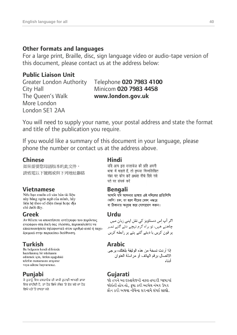### **Other formats and languages**

For a large print, Braille, disc, sign language video or audio-tape version of this document, please contact us at the address below:

## **Public Liaison Unit**

The Queen's Walk **www.london.gov.uk** More London London SE1 2AA

## Greater London Authority Telephone **020 7983 4100** City Hall Minicom **020 7983 4458**

You will need to supply your name, your postal address and state the format and title of the publication you require.

If you would like a summary of this document in your language, please phone the number or contact us at the address above.

**Chinese**<br>加果需要您<del>因</del>語版本的此文件, यदि आप इस दस्तावेज की प्रति अपनी 如果需要您母語版本的此文件, 請致電以下號碼或與下列地址聯絡

này bằng ngôn ngữ của mình, hãy liên hê theo số điên thoai hoặc địa chỉ dưới đây.

**Greek** Urdu<br>Δν θέλετε να αποκτήσετε αντίγραφο του παρόντος *Δν θέλετε να αποκτήσετε αντίγραφ*ο του παρόντος εγγράφου στη δική σας γλώσσα, παρακαλείστε να επικοινωνήσετε τηλεφωνικά στον αριθμό αυτό ή ταχυδρομικά στην παρακάτω διεύθυνση.

hazırlanmış bir nüshasını edinmek için, lütfen asağıdaki telefon numarasını arayınız veya adrese başvurunuz.

**Punjabi Gujarati** ਵਿਚ ਚਾਹੀਦੀ ਹੈ, ਤਾਂ ਹੇਠ ਲਿਖੇ ਨੰਬਰ 'ਤੇ ਫ਼ੋਨ ਕਰੋ ਜਾਂ ਹੇਠ ਲਿਖੇ ਪਤੇ 'ਤੇ ਰਾਬਤਾ ਕਰੋ:

भाषा में चाहते हैं, तो कृपया निम्नलिखित नंबर पर फोन करें अथवा नीचे दिये गये पते पर संपर्क करें

**Vietnamese Bengali**  (কপি) চান, তা হলে নীচের ফোন নম্বরে বা ঠিকানায় অনুগ্রহ করে যোগাযোগ করুন।

چاھتے ھیں، تو ہراہ کرم نیچے دئے گئے نمبر پر فون کریں یا دیئے گئے پتے پر رابطه کریں

**Turkish Arabic**  الاتصال بر قم الهاتف أو مر اسلة العنوان أدناه

જો તમને આ દસ્તાવેજની નકલ તમારી ભાષામાં જોઇતી હોય તો, કપા કરી આપેલ નંબર ઉપર ફોન કરો અથવા નીચેના સરનામે સંપર્ક સાઘો.